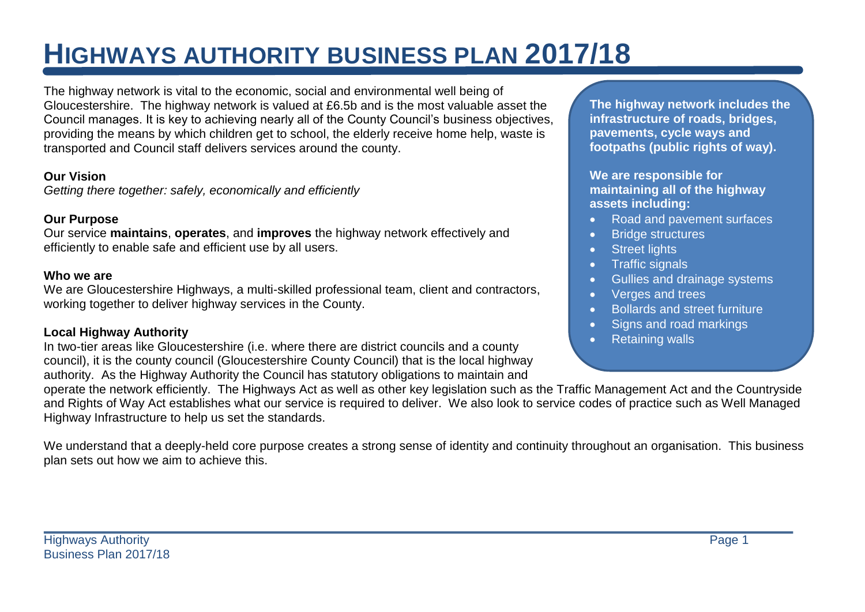# **HIGHWAYS AUTHORITY BUSINESS PLAN 2017/18**

The highway network is vital to the economic, social and environmental well being of Gloucestershire. The highway network is valued at £6.5b and is the most valuable asset the Council manages. It is key to achieving nearly all of the County Council's business objectives, providing the means by which children get to school, the elderly receive home help, waste is transported and Council staff delivers services around the county.

#### **Our Vision**

*Getting there together: safely, economically and efficiently*

### **Our Purpose**

Our service **maintains**, **operates**, and **improves** the highway network effectively and efficiently to enable safe and efficient use by all users.

#### **Who we are**

We are Gloucestershire Highways, a multi-skilled professional team, client and contractors, working together to deliver highway services in the County.

#### **Local Highway Authority**

In two-tier areas like Gloucestershire (i.e. where there are district councils and a county council), it is the county council (Gloucestershire County Council) that is the local highway authority. As the Highway Authority the Council has statutory obligations to maintain and

**The highway network includes the infrastructure of roads, bridges, pavements, cycle ways and footpaths (public rights of way).**

**We are responsible for maintaining all of the highway assets including:**

- Road and pavement surfaces
- **•** Bridge structures
- Street lights
- Traffic signals
- Gullies and drainage systems
- Verges and trees
- Bollards and street furniture
- Signs and road markings
- Retaining walls

operate the network efficiently. The Highways Act as well as other key legislation such as the Traffic Management Act and the Countryside and Rights of Way Act establishes what our service is required to deliver. We also look to service codes of practice such as Well Managed Highway Infrastructure to help us set the standards.

We understand that a deeply-held core purpose creates a strong sense of identity and continuity throughout an organisation. This business plan sets out how we aim to achieve this.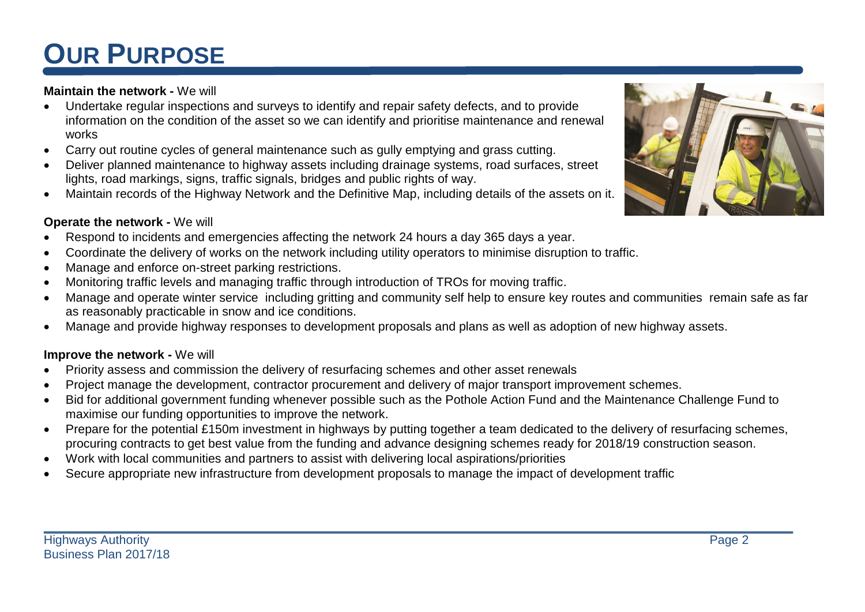# **OUR PURPOSE**

### **Maintain the network -** We will

- Undertake regular inspections and surveys to identify and repair safety defects, and to provide information on the condition of the asset so we can identify and prioritise maintenance and renewal works
- Carry out routine cycles of general maintenance such as gully emptying and grass cutting.
- Deliver planned maintenance to highway assets including drainage systems, road surfaces, street lights, road markings, signs, traffic signals, bridges and public rights of way.
- Maintain records of the Highway Network and the Definitive Map, including details of the assets on it.

#### **Operate the network -** We will

- Respond to incidents and emergencies affecting the network 24 hours a day 365 days a year.
- Coordinate the delivery of works on the network including utility operators to minimise disruption to traffic.
- Manage and enforce on-street parking restrictions.
- Monitoring traffic levels and managing traffic through introduction of TROs for moving traffic.
- Manage and operate winter service including gritting and community self help to ensure key routes and communities remain safe as far as reasonably practicable in snow and ice conditions.
- Manage and provide highway responses to development proposals and plans as well as adoption of new highway assets.

#### **Improve the network -** We will

- Priority assess and commission the delivery of resurfacing schemes and other asset renewals
- Project manage the development, contractor procurement and delivery of major transport improvement schemes.
- Bid for additional government funding whenever possible such as the Pothole Action Fund and the Maintenance Challenge Fund to maximise our funding opportunities to improve the network.
- Prepare for the potential £150m investment in highways by putting together a team dedicated to the delivery of resurfacing schemes, procuring contracts to get best value from the funding and advance designing schemes ready for 2018/19 construction season.
- Work with local communities and partners to assist with delivering local aspirations/priorities
- Secure appropriate new infrastructure from development proposals to manage the impact of development traffic

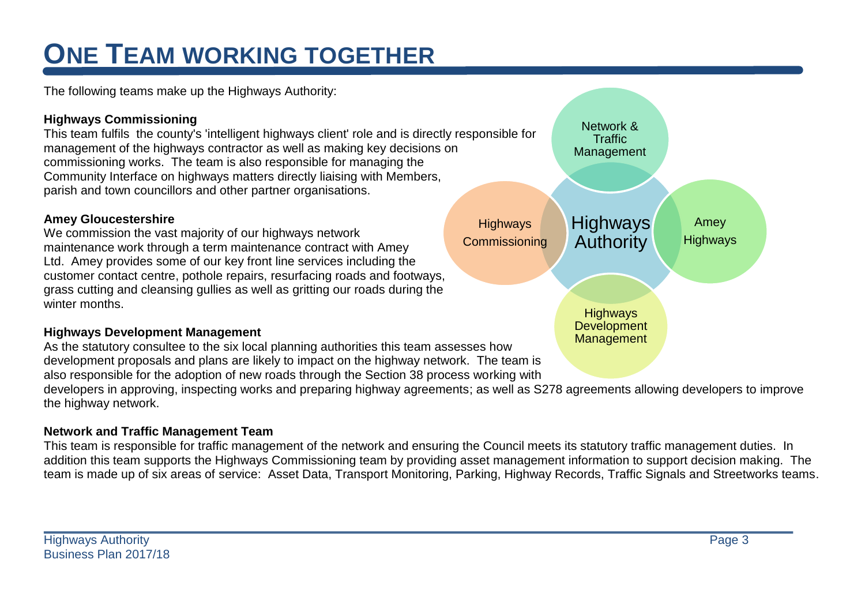# **ONE TEAM WORKING TOGETHER**

The following teams make up the Highways Authority:

### **Highways Commissioning**

This team fulfils the county's 'intelligent highways client' role and is directly responsible for management of the highways contractor as well as making key decisions on commissioning works. The team is also responsible for managing the Community Interface on highways matters directly liaising with Members, parish and town councillors and other partner organisations.

### **Amey Gloucestershire**

We commission the vast majority of our highways network maintenance work through a term maintenance contract with Amey Ltd. Amey provides some of our key front line services including the customer contact centre, pothole repairs, resurfacing roads and footways, grass cutting and cleansing gullies as well as gritting our roads during the winter months.

### **Highways Development Management**

As the statutory consultee to the six local planning authorities this team assesses how development proposals and plans are likely to impact on the highway network. The team is also responsible for the adoption of new roads through the Section 38 process working with

developers in approving, inspecting works and preparing highway agreements; as well as S278 agreements allowing developers to improve the highway network.

## **Network and Traffic Management Team**

This team is responsible for traffic management of the network and ensuring the Council meets its statutory traffic management duties. In addition this team supports the Highways Commissioning team by providing asset management information to support decision making. The team is made up of six areas of service: Asset Data, Transport Monitoring, Parking, Highway Records, Traffic Signals and Streetworks teams.

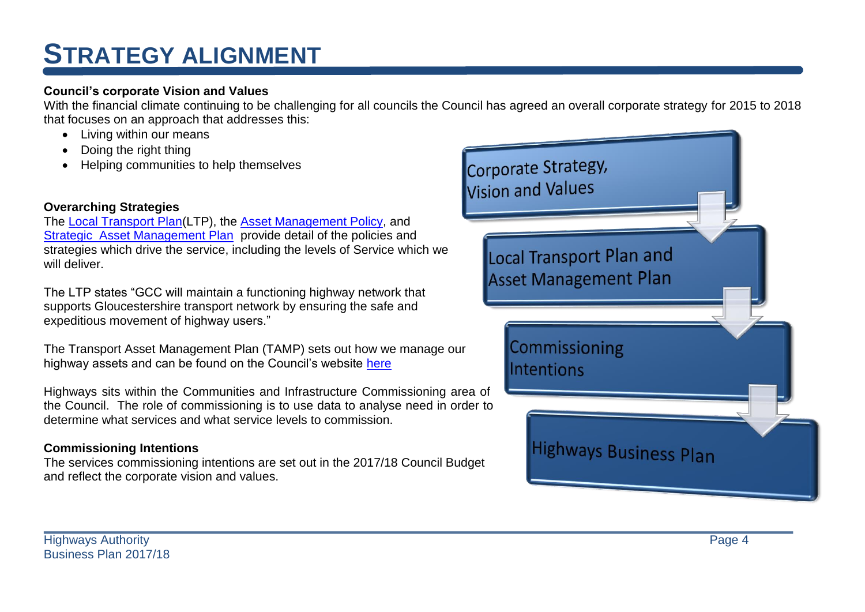## **STRATEGY ALIGNMENT**

### **Council's corporate Vision and Values**

With the financial climate continuing to be challenging for all councils the Council has agreed an overall corporate strategy for 2015 to 2018 that focuses on an approach that addresses this:

- Living within our means
- Doing the right thing
- Helping communities to help themselves

## **Overarching Strategies**

The [Local Transport Plan\(](http://www.gloucestershire.gov.uk/transport/gloucestershires-local-transport-plan-2015-2031/)LTP), the [Asset Management Policy,](http://www.gloucestershire.gov.uk/media/2152/highways_asset_management_policy_2014_draft-65674.pdf) and [Strategic Asset Management Plan](http://www.gloucestershire.gov.uk/media/2154/strategic_tamp_-__2014_draft_rev_1-65678.pdf) provide detail of the policies and strategies which drive the service, including the levels of Service which we will deliver.

The LTP states "GCC will maintain a functioning highway network that supports Gloucestershire transport network by ensuring the safe and expeditious movement of highway users."

The Transport Asset Management Plan (TAMP) sets out how we manage our highway assets and can be found on the Council's website [here](http://www.gloucestershire.gov.uk/transport/transport-asset-management-plan-tamp/)

Highways sits within the Communities and Infrastructure Commissioning area of the Council. The role of commissioning is to use data to analyse need in order to determine what services and what service levels to commission.

## **Commissioning Intentions**

The services commissioning intentions are set out in the 2017/18 Council Budget and reflect the corporate vision and values.

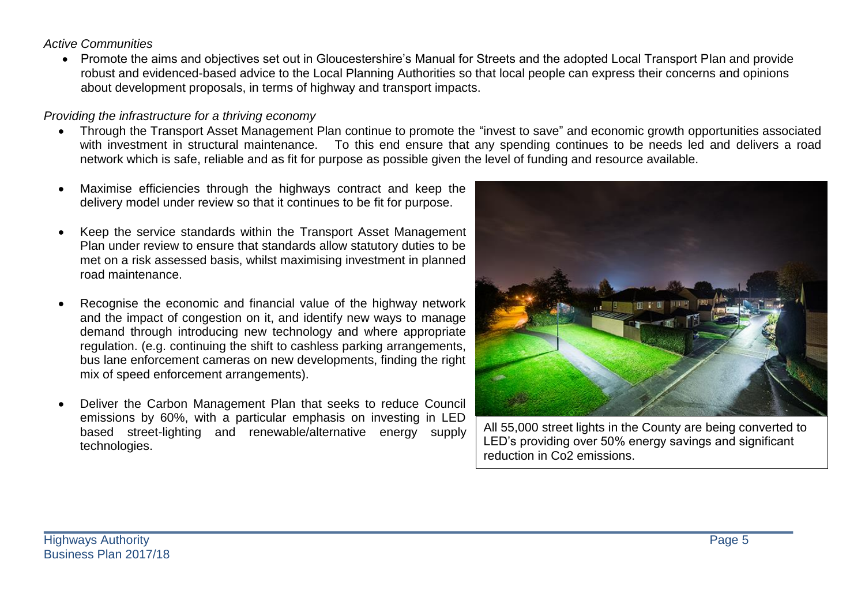#### *Active Communities*

 Promote the aims and objectives set out in Gloucestershire's Manual for Streets and the adopted Local Transport Plan and provide robust and evidenced-based advice to the Local Planning Authorities so that local people can express their concerns and opinions about development proposals, in terms of highway and transport impacts.

### *Providing the infrastructure for a thriving economy*

- Through the Transport Asset Management Plan continue to promote the "invest to save" and economic growth opportunities associated with investment in structural maintenance. To this end ensure that any spending continues to be needs led and delivers a road network which is safe, reliable and as fit for purpose as possible given the level of funding and resource available.
- Maximise efficiencies through the highways contract and keep the delivery model under review so that it continues to be fit for purpose.
- Keep the service standards within the Transport Asset Management Plan under review to ensure that standards allow statutory duties to be met on a risk assessed basis, whilst maximising investment in planned road maintenance.
- Recognise the economic and financial value of the highway network and the impact of congestion on it, and identify new ways to manage demand through introducing new technology and where appropriate regulation. (e.g. continuing the shift to cashless parking arrangements, bus lane enforcement cameras on new developments, finding the right mix of speed enforcement arrangements).
- Deliver the Carbon Management Plan that seeks to reduce Council emissions by 60%, with a particular emphasis on investing in LED based street-lighting and renewable/alternative energy supply technologies.



All 55,000 street lights in the County are being converted to LED's providing over 50% energy savings and significant reduction in Co2 emissions.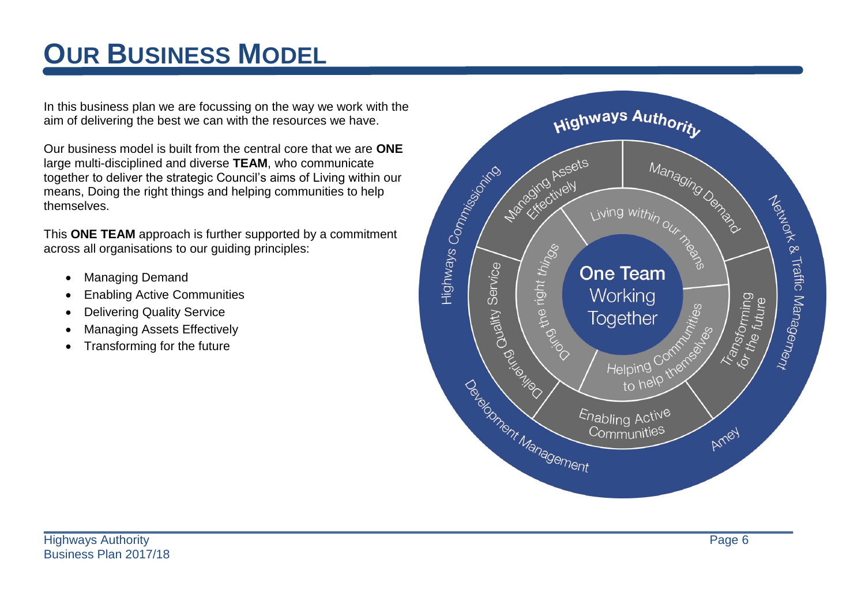# **OUR BUSINESS MODEL**

In this business plan we are focussing on the way we work with the aim of delivering the best we can with the resources we have.

Our business model is built from the central core that we are **ONE** large multi-disciplined and diverse **TEAM**, who communicate together to deliver the strategic Council's aims of Living within our means, Doing the right things and helping communities to help themselves.

This **ONE TEAM** approach is further supported by a commitment across all organisations to our guiding principles:

- Managing Demand
- Enabling Active Communities
- Delivering Quality Service
- Managing Assets Effectively
- Transforming for the future

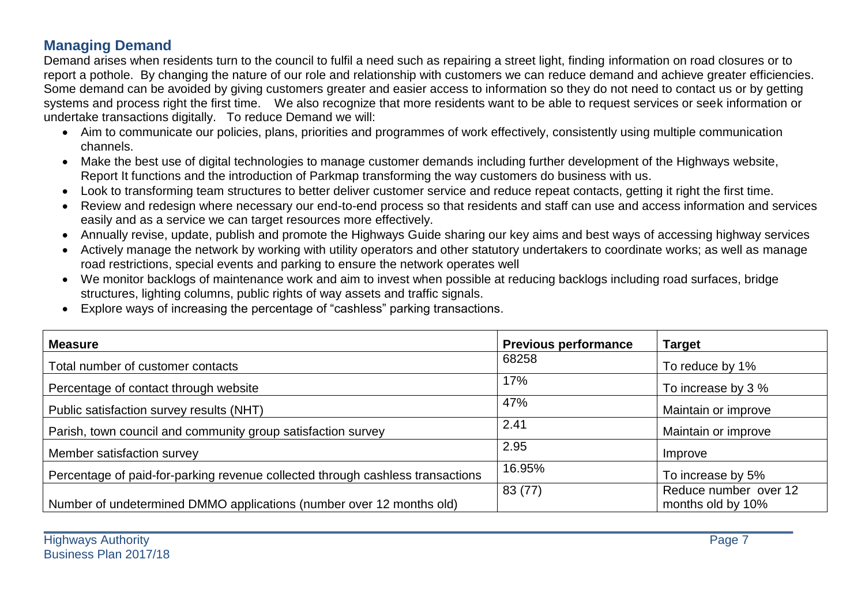## **Managing Demand**

Demand arises when residents turn to the council to fulfil a need such as repairing a street light, finding information on road closures or to report a pothole. By changing the nature of our role and relationship with customers we can reduce demand and achieve greater efficiencies. Some demand can be avoided by giving customers greater and easier access to information so they do not need to contact us or by getting systems and process right the first time. We also recognize that more residents want to be able to request services or seek information or undertake transactions digitally. To reduce Demand we will:

- Aim to communicate our policies, plans, priorities and programmes of work effectively, consistently using multiple communication channels.
- Make the best use of digital technologies to manage customer demands including further development of the Highways website, Report It functions and the introduction of Parkmap transforming the way customers do business with us.
- Look to transforming team structures to better deliver customer service and reduce repeat contacts, getting it right the first time.
- Review and redesign where necessary our end-to-end process so that residents and staff can use and access information and services easily and as a service we can target resources more effectively.
- Annually revise, update, publish and promote the Highways Guide sharing our key aims and best ways of accessing highway services
- Actively manage the network by working with utility operators and other statutory undertakers to coordinate works; as well as manage road restrictions, special events and parking to ensure the network operates well
- We monitor backlogs of maintenance work and aim to invest when possible at reducing backlogs including road surfaces, bridge structures, lighting columns, public rights of way assets and traffic signals.
- Explore ways of increasing the percentage of "cashless" parking transactions.

| <b>Measure</b>                                                                 | <b>Previous performance</b> | <b>Target</b>                              |
|--------------------------------------------------------------------------------|-----------------------------|--------------------------------------------|
| Total number of customer contacts                                              | 68258                       | To reduce by 1%                            |
| Percentage of contact through website                                          | 17%                         | To increase by 3 %                         |
| Public satisfaction survey results (NHT)                                       | 47%                         | Maintain or improve                        |
| Parish, town council and community group satisfaction survey                   | 2.41                        | Maintain or improve                        |
| Member satisfaction survey                                                     | 2.95                        | Improve                                    |
| Percentage of paid-for-parking revenue collected through cashless transactions | 16.95%                      | To increase by 5%                          |
| Number of undetermined DMMO applications (number over 12 months old)           | 83 (77)                     | Reduce number over 12<br>months old by 10% |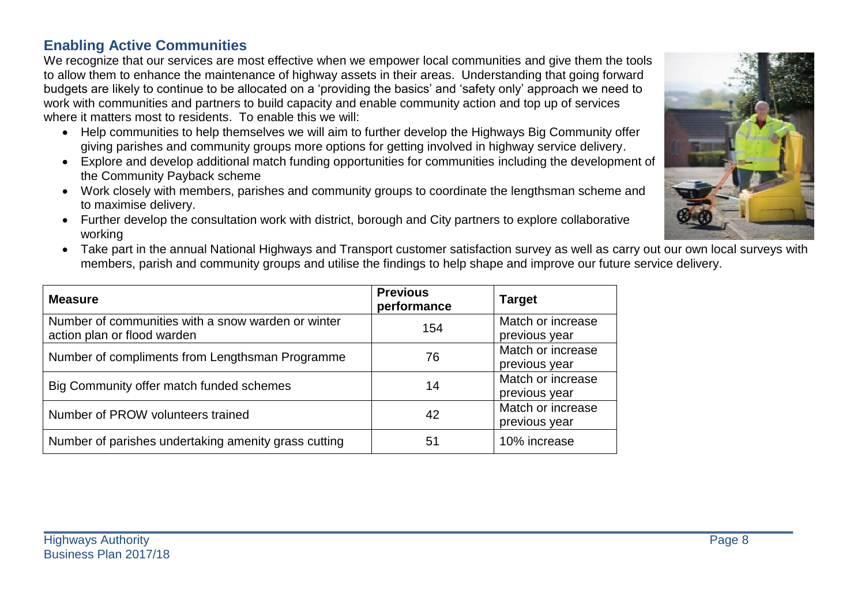### **Enabling Active Communities**

We recognize that our services are most effective when we empower local communities and give them the tools to allow them to enhance the maintenance of highway assets in their areas. Understanding that going forward budgets are likely to continue to be allocated on a 'providing the basics' and 'safety only' approach we need to work with communities and partners to build capacity and enable community action and top up of services where it matters most to residents. To enable this we will:

- Help communities to help themselves we will aim to further develop the Highways Big Community offer giving parishes and community groups more options for getting involved in highway service delivery.
- Explore and develop additional match funding opportunities for communities including the development of the Community Payback scheme
- Work closely with members, parishes and community groups to coordinate the lengthsman scheme and to maximise delivery.
- Further develop the consultation work with district, borough and City partners to explore collaborative working
- Take part in the annual National Highways and Transport customer satisfaction survey as well as carry out our own local surveys with members, parish and community groups and utilise the findings to help shape and improve our future service delivery.

| <b>Measure</b>                                                                    | <b>Previous</b><br>performance | <b>Target</b>                      |
|-----------------------------------------------------------------------------------|--------------------------------|------------------------------------|
| Number of communities with a snow warden or winter<br>action plan or flood warden | 154                            | Match or increase<br>previous year |
| Number of compliments from Lengthsman Programme                                   | 76                             | Match or increase<br>previous year |
| Big Community offer match funded schemes                                          | 14                             | Match or increase<br>previous year |
| Number of PROW volunteers trained                                                 | 42                             | Match or increase<br>previous year |
| Number of parishes undertaking amenity grass cutting                              | 51                             | 10% increase                       |

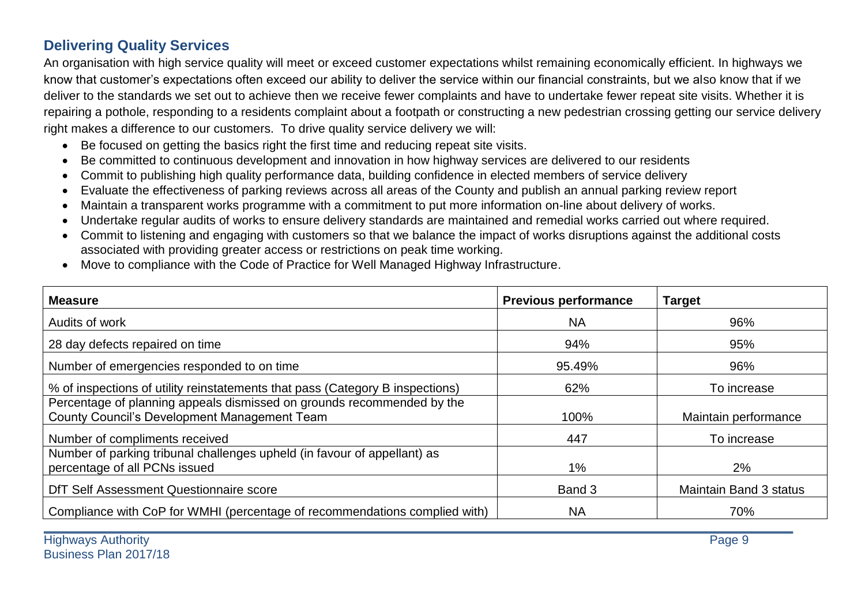## **Delivering Quality Services**

An organisation with high service quality will meet or exceed customer expectations whilst remaining economically efficient. In highways we know that customer's expectations often exceed our ability to deliver the service within our financial constraints, but we also know that if we deliver to the standards we set out to achieve then we receive fewer complaints and have to undertake fewer repeat site visits. Whether it is repairing a pothole, responding to a residents complaint about a footpath or constructing a new pedestrian crossing getting our service delivery right makes a difference to our customers. To drive quality service delivery we will:

- Be focused on getting the basics right the first time and reducing repeat site visits.
- Be committed to continuous development and innovation in how highway services are delivered to our residents
- Commit to publishing high quality performance data, building confidence in elected members of service delivery
- Evaluate the effectiveness of parking reviews across all areas of the County and publish an annual parking review report
- Maintain a transparent works programme with a commitment to put more information on-line about delivery of works.
- Undertake regular audits of works to ensure delivery standards are maintained and remedial works carried out where required.
- Commit to listening and engaging with customers so that we balance the impact of works disruptions against the additional costs associated with providing greater access or restrictions on peak time working.
- Move to compliance with the Code of Practice for Well Managed Highway Infrastructure.

| <b>Measure</b>                                                                                                                | <b>Previous performance</b> | <b>Target</b>                 |
|-------------------------------------------------------------------------------------------------------------------------------|-----------------------------|-------------------------------|
| Audits of work                                                                                                                | <b>NA</b>                   | 96%                           |
| 28 day defects repaired on time                                                                                               | 94%                         | 95%                           |
| Number of emergencies responded to on time                                                                                    | 95.49%                      | 96%                           |
| % of inspections of utility reinstatements that pass (Category B inspections)                                                 | 62%                         | To increase                   |
| Percentage of planning appeals dismissed on grounds recommended by the<br><b>County Council's Development Management Team</b> | 100%                        | Maintain performance          |
| Number of compliments received                                                                                                | 447                         | To increase                   |
| Number of parking tribunal challenges upheld (in favour of appellant) as<br>percentage of all PCNs issued                     | $1\%$                       | 2%                            |
| DfT Self Assessment Questionnaire score                                                                                       | Band 3                      | <b>Maintain Band 3 status</b> |
| Compliance with CoP for WMHI (percentage of recommendations complied with)                                                    | <b>NA</b>                   | 70%                           |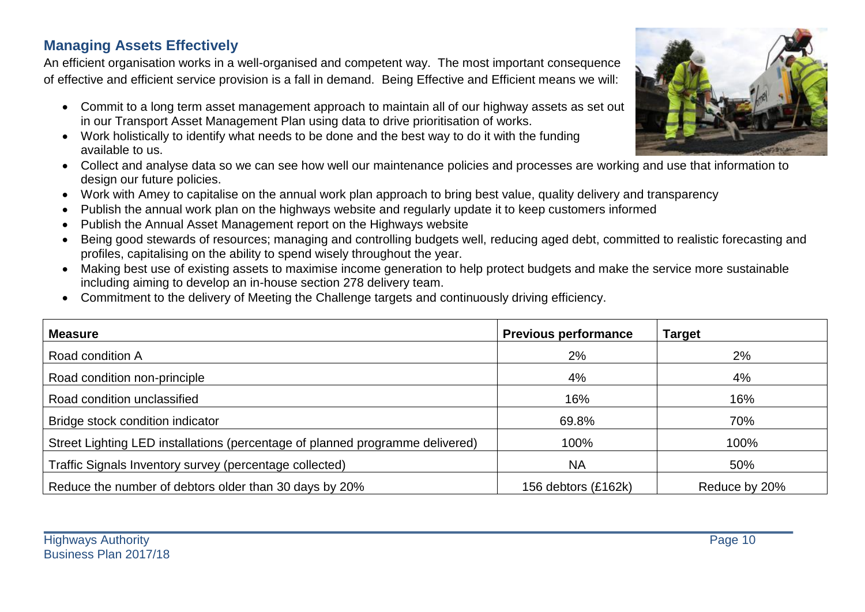## **Managing Assets Effectively**

An efficient organisation works in a well-organised and competent way. The most important consequence of effective and efficient service provision is a fall in demand. Being Effective and Efficient means we will:

- Commit to a long term asset management approach to maintain all of our highway assets as set out in our Transport Asset Management Plan using data to drive prioritisation of works.
- Work holistically to identify what needs to be done and the best way to do it with the funding available to us.
- Collect and analyse data so we can see how well our maintenance policies and processes are working and use that information to design our future policies.
- Work with Amey to capitalise on the annual work plan approach to bring best value, quality delivery and transparency
- Publish the annual work plan on the highways website and regularly update it to keep customers informed
- Publish the Annual Asset Management report on the Highways website
- Being good stewards of resources; managing and controlling budgets well, reducing aged debt, committed to realistic forecasting and profiles, capitalising on the ability to spend wisely throughout the year.
- Making best use of existing assets to maximise income generation to help protect budgets and make the service more sustainable including aiming to develop an in-house section 278 delivery team.
- Commitment to the delivery of Meeting the Challenge targets and continuously driving efficiency.

| <b>Measure</b>                                                                | <b>Previous performance</b> | <b>Target</b> |
|-------------------------------------------------------------------------------|-----------------------------|---------------|
| Road condition A                                                              | 2%                          | 2%            |
| Road condition non-principle                                                  | 4%                          | 4%            |
| Road condition unclassified                                                   | 16%                         | 16%           |
| Bridge stock condition indicator                                              | 69.8%                       | 70%           |
| Street Lighting LED installations (percentage of planned programme delivered) | 100%                        | 100%          |
| Traffic Signals Inventory survey (percentage collected)                       | <b>NA</b>                   | 50%           |
| Reduce the number of debtors older than 30 days by 20%                        | 156 debtors (£162k)         | Reduce by 20% |

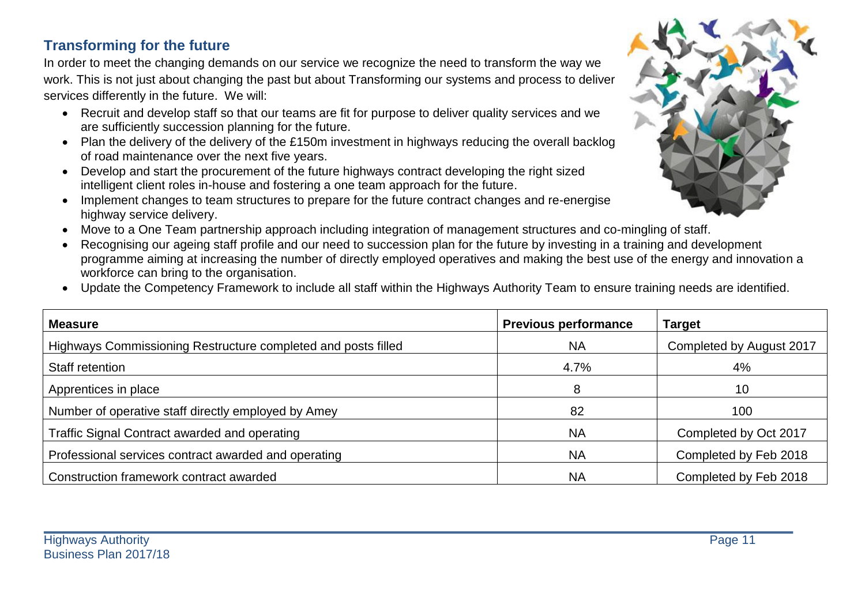## **Transforming for the future**

In order to meet the changing demands on our service we recognize the need to transform the way we work. This is not just about changing the past but about Transforming our systems and process to deliver services differently in the future. We will:

- Recruit and develop staff so that our teams are fit for purpose to deliver quality services and we are sufficiently succession planning for the future.
- Plan the delivery of the delivery of the £150m investment in highways reducing the overall backlog of road maintenance over the next five years.
- Develop and start the procurement of the future highways contract developing the right sized intelligent client roles in-house and fostering a one team approach for the future.
- Implement changes to team structures to prepare for the future contract changes and re-energise highway service delivery.
- Move to a One Team partnership approach including integration of management structures and co-mingling of staff.
- Recognising our ageing staff profile and our need to succession plan for the future by investing in a training and development programme aiming at increasing the number of directly employed operatives and making the best use of the energy and innovation a workforce can bring to the organisation.
- Update the Competency Framework to include all staff within the Highways Authority Team to ensure training needs are identified.

| <b>Measure</b>                                                | <b>Previous performance</b> | <b>Target</b>            |
|---------------------------------------------------------------|-----------------------------|--------------------------|
| Highways Commissioning Restructure completed and posts filled | <b>NA</b>                   | Completed by August 2017 |
| Staff retention                                               | 4.7%                        | 4%                       |
| Apprentices in place                                          | 8                           | 10                       |
| Number of operative staff directly employed by Amey           | 82                          | 100                      |
| Traffic Signal Contract awarded and operating                 | <b>NA</b>                   | Completed by Oct 2017    |
| Professional services contract awarded and operating          | <b>NA</b>                   | Completed by Feb 2018    |
| Construction framework contract awarded                       | <b>NA</b>                   | Completed by Feb 2018    |

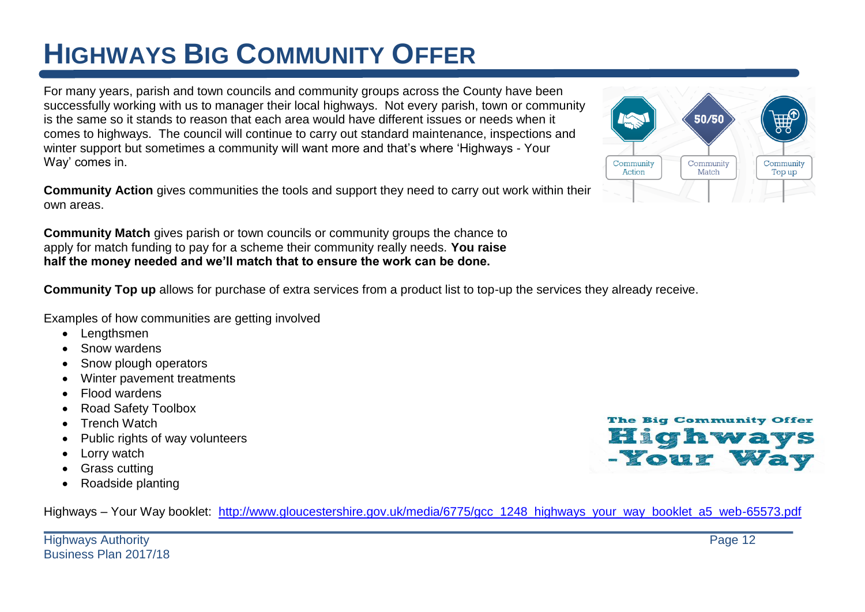# **HIGHWAYS BIG COMMUNITY OFFER**

For many years, parish and town councils and community groups across the County have been successfully working with us to manager their local highways. Not every parish, town or community is the same so it stands to reason that each area would have different issues or needs when it comes to highways. The council will continue to carry out standard maintenance, inspections and winter support but sometimes a community will want more and that's where 'Highways - Your Way' comes in.

**Community Action** gives communities the tools and support they need to carry out work within their own areas.

**Community Match** gives parish or town councils or community groups the chance to apply for match funding to pay for a scheme their community really needs. **You raise half the money needed and we'll match that to ensure the work can be done.**

**Community Top up** allows for purchase of extra services from a product list to top-up the services they already receive.

Examples of how communities are getting involved

- Lengthsmen
- Snow wardens
- Snow plough operators
- Winter pavement treatments
- Flood wardens
- Road Safety Toolbox
- Trench Watch
- Public rights of way volunteers
- Lorry watch
- Grass cutting
- Roadside planting



Highways – Your Way booklet: [http://www.gloucestershire.gov.uk/media/6775/gcc\\_1248\\_highways\\_your\\_way\\_booklet\\_a5\\_web-65573.pdf](http://www.gloucestershire.gov.uk/media/6775/gcc_1248_highways_your_way_booklet_a5_web-65573.pdf)

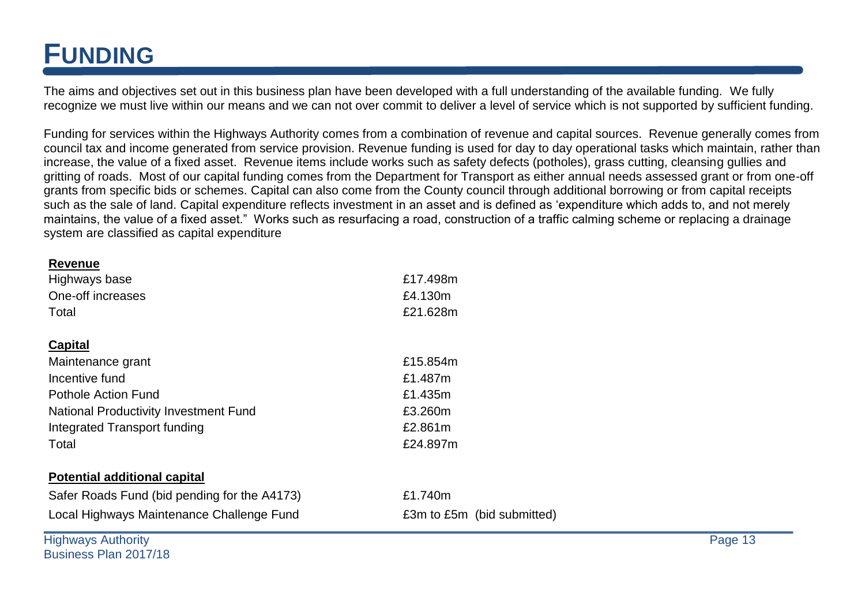## **FUNDING**

The aims and objectives set out in this business plan have been developed with a full understanding of the available funding. We fully recognize we must live within our means and we can not over commit to deliver a level of service which is not supported by sufficient funding.

Funding for services within the Highways Authority comes from a combination of revenue and capital sources. Revenue generally comes from council tax and income generated from service provision. Revenue funding is used for day to day operational tasks which maintain, rather than increase, the value of a fixed asset. Revenue items include works such as safety defects (potholes), grass cutting, cleansing gullies and gritting of roads. Most of our capital funding comes from the Department for Transport as either annual needs assessed grant or from one-off grants from specific bids or schemes. Capital can also come from the County council through additional borrowing or from capital receipts such as the sale of land. Capital expenditure reflects investment in an asset and is defined as 'expenditure which adds to, and not merely maintains, the value of a fixed asset." Works such as resurfacing a road, construction of a traffic calming scheme or replacing a drainage system are classified as capital expenditure

| <b>Revenue</b>                               |                            |  |
|----------------------------------------------|----------------------------|--|
| Highways base                                | £17.498m                   |  |
| One-off increases                            | £4.130m                    |  |
| Total                                        | £21.628m                   |  |
| <b>Capital</b>                               |                            |  |
|                                              |                            |  |
| Maintenance grant                            | £15.854m                   |  |
| Incentive fund                               | £1.487m                    |  |
| Pothole Action Fund                          | £1.435m                    |  |
| <b>National Productivity Investment Fund</b> | £3.260m                    |  |
| Integrated Transport funding                 | £2.861m                    |  |
| Total                                        | £24.897m                   |  |
| <b>Potential additional capital</b>          |                            |  |
| Safer Roads Fund (bid pending for the A4173) | £1.740m                    |  |
| Local Highways Maintenance Challenge Fund    | £3m to £5m (bid submitted) |  |

**Highways Authority** Page 13 Business Plan 2017/18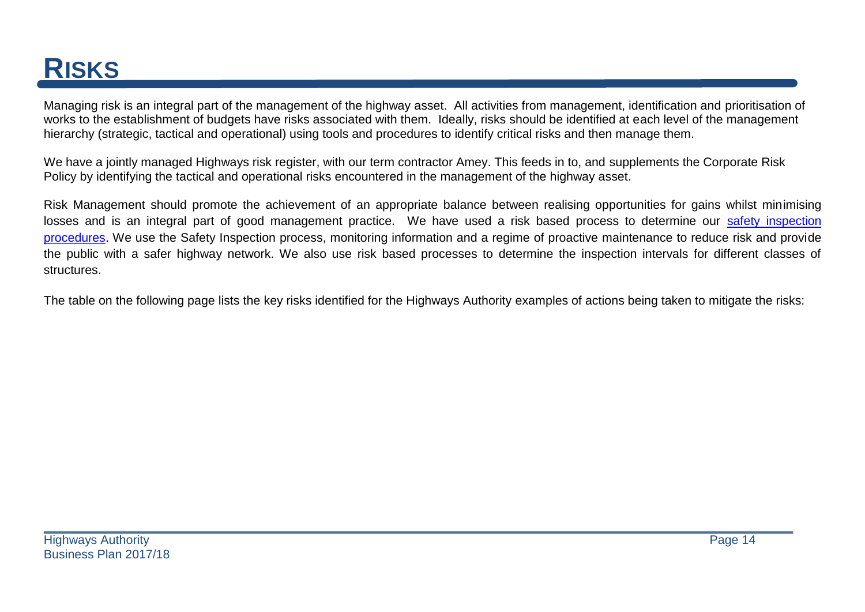## **RISKS**

Managing risk is an integral part of the management of the highway asset. All activities from management, identification and prioritisation of works to the establishment of budgets have risks associated with them. Ideally, risks should be identified at each level of the management hierarchy (strategic, tactical and operational) using tools and procedures to identify critical risks and then manage them.

We have a jointly managed Highways risk register, with our term contractor Amey. This feeds in to, and supplements the Corporate Risk Policy by identifying the tactical and operational risks encountered in the management of the highway asset.

Risk Management should promote the achievement of an appropriate balance between realising opportunities for gains whilst minimising losses and is an integral part of good management practice. We have used a risk based process to determine our safety inspection [procedures.](http://www.gloucestershire.gov.uk/CHttpHandler.ashx?id=60408&p=0) We use the Safety Inspection process, monitoring information and a regime of proactive maintenance to reduce risk and provide the public with a safer highway network. We also use risk based processes to determine the inspection intervals for different classes of structures.

The table on the following page lists the key risks identified for the Highways Authority examples of actions being taken to mitigate the risks: